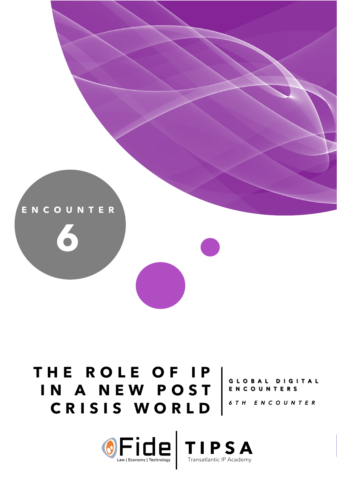

# **THE ROLE OF IP**  IN A NEW POST CRISIS WORLD<sup>STH ENCOUNTER</sup>

# GLOBAL DIGITAL<br>ENCOUNTERS

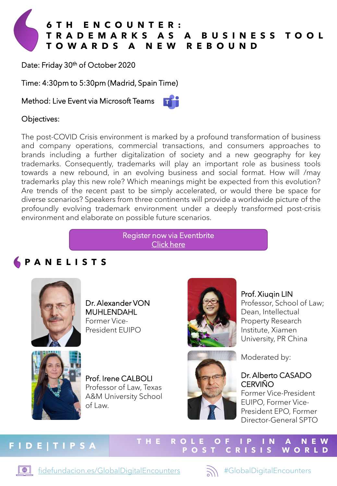

Date: Friday 30<sup>th</sup> of October 2020

Time: 4:30pm to 5:30pm (Madrid, Spain Time)

Method: Live Event via Microsoft Teams



#### Objectives:

The post-COVID Crisis environment is marked by a profound transformation of business and company operations, commercial transactions, and consumers approaches to brands including a further digitalization of society and a new geography for key trademarks. Consequently, trademarks will play an important role as business tools towards a new rebound, in an evolving business and social format. How will /may trademarks play this new role? Which meanings might be expected from this evolution? Are trends of the recent past to be simply accelerated, or would there be space for diverse scenarios? Speakers from three continents will provide a worldwide picture of the profoundly evolving trademark environment under a deeply transformed post-crisis environment and elaborate on possible future scenarios.

> [Register now via Eventbrite](http://bit.ly/gde-6) Click here

### **PANELISTS**



Dr. Alexander VON MUHLENDAHL Former Vice-President EUIPO



Prof. Irene CALBOLI Professor of Law, Texas A&M University School of Law.





Professor, School of Law; Dean, Intellectual Property Research Institute, Xiamen University, PR China



Moderated by:

#### Dr. Alberto CASADO **CERVIÑO**

Former Vice-President EUIPO, Former Vice-President EPO, Former Director-General SPTO

**WORLD** 

## **FIDE|TIPSA THE ROLE OF IP IN A NEW**

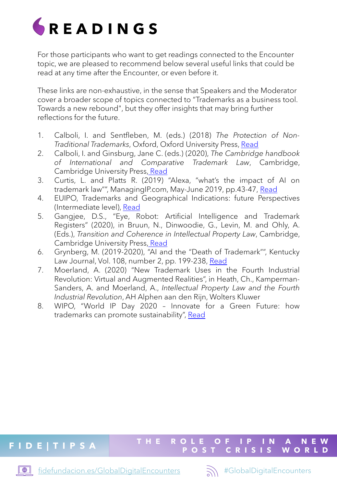

For those participants who want to get readings connected to the Encounter topic, we are pleased to recommend below several useful links that could be read at any time after the Encounter, or even before it.

These links are non-exhaustive, in the sense that Speakers and the Moderator cover a broader scope of topics connected to "Trademarks as a business tool. Towards a new rebound", but they offer insights that may bring further reflections for the future.

- 1. Calboli, I. and Sentfleben, M. (eds.) (2018) *The Protection of Non-Traditional Trademarks*, Oxford, Oxford University Press, [Read](http://fdslive.oup.com/www.oup.com/academic/pdf/openaccess/9780198826576.pdf)
- 2. Calboli, I. and Ginsburg, Jane C. (eds.) (2020), *The Cambridge handbook of International and Comparative Trademark Law*, Cambridge, Cambridge University Press, [Read](https://www.cambridge.org/core/books/cambridge-handbook-of-international-and-comparative-trademark-law/89635A9E3B1BEF12EFC92D0405589D14#fndtn-information)
- 3. Curtis, L. and Platts R. (2019) "Alexa, "what's the impact of AI on trademark law"", ManagingIP.com, May-June 2019, pp.43-47, [Read](https://www.hgf.com/media/1623950/Lee-curtis-AI-article.pdf)
- 4. EUIPO, Trademarks and Geographical Indications: future Perspectives (Intermediate level), [Read](https://euipo.europa.eu/knowledge/course/view.php?id=3342)
- 5. Gangjee, D.S., "Eye, Robot: Artificial Intelligence and Trademark Registers" (2020), in Bruun, N., Dinwoodie, G., Levin, M. and Ohly, A. (Eds.), *Transition and Coherence in Intellectual Property Law*, Cambridge, Cambridge University Press, [Read](https://papers.ssrn.com/sol3/papers.cfm?abstract_id=3467627)
- 6. Grynberg, M. (2019-2020), "AI and the "Death of Trademark"", Kentucky Law Journal, Vol. 108, number 2, pp. 199-238, [Read](https://papers.ssrn.com/sol3/papers.cfm?abstract_id=3626674)
- 7. Moerland, A. (2020) "New Trademark Uses in the Fourth Industrial Revolution: Virtual and Augmented Realities", in Heath, Ch., Kamperman-Sanders, A. and Moerland, A., *Intellectual Property Law and the Fourth Industrial Revolution*, AH Alphen aan den Rijn, Wolters Kluwer
- 8. WIPO, "World IP Day 2020 Innovate for a Green Future: how trademarks can promote sustainability", [Read](https://www.wipo.int/ip-outreach/en/ipday/2020/articles/sustainable_trademark.html)

## **FIDE|TIPSA THE ROLE OF IP IN A NEW**

 $\blacksquare$ 



**WORLD**